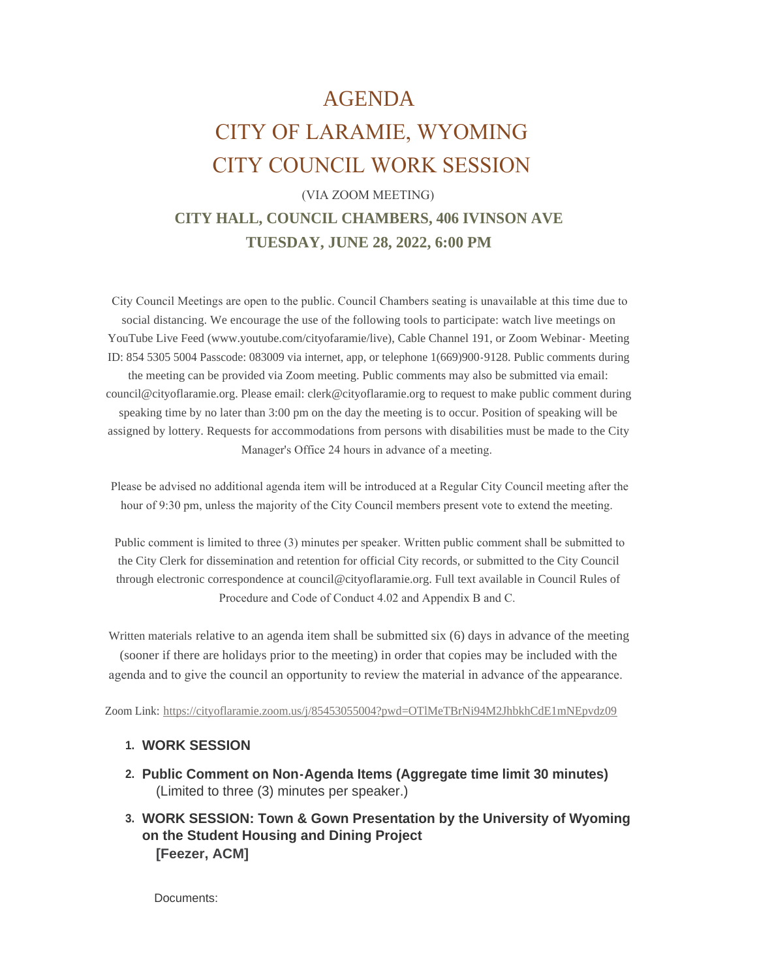# AGENDA CITY OF LARAMIE, WYOMING CITY COUNCIL WORK SESSION

## (VIA ZOOM MEETING) **CITY HALL, COUNCIL CHAMBERS, 406 IVINSON AVE TUESDAY, JUNE 28, 2022, 6:00 PM**

 City Council Meetings are open to the public. Council Chambers seating is unavailable at this time due to social distancing. We encourage the use of the following tools to participate: watch live meetings on YouTube Live Feed (www.youtube.com/cityofaramie/live), Cable Channel 191, or Zoom Webinar- Meeting ID: 854 5305 5004 Passcode: 083009 via internet, app, or telephone 1(669)900-9128. Public comments during the meeting can be provided via Zoom meeting. Public comments may also be submitted via email: council@cityoflaramie.org. Please email: clerk@cityoflaramie.org to request to make public comment during speaking time by no later than 3:00 pm on the day the meeting is to occur. Position of speaking will be assigned by lottery. Requests for accommodations from persons with disabilities must be made to the City Manager's Office 24 hours in advance of a meeting.

 Please be advised no additional agenda item will be introduced at a Regular City Council meeting after the hour of 9:30 pm, unless the majority of the City Council members present vote to extend the meeting.

 Public comment is limited to three (3) minutes per speaker. Written public comment shall be submitted to the City Clerk for dissemination and retention for official City records, or submitted to the City Council through electronic correspondence at council@cityoflaramie.org. Full text available in Council Rules of Procedure and Code of Conduct 4.02 and Appendix B and C.

Written materials relative to an agenda item shall be submitted six (6) days in advance of the meeting (sooner if there are holidays prior to the meeting) in order that copies may be included with the agenda and to give the council an opportunity to review the material in advance of the appearance.

Zoom Link: <https://cityoflaramie.zoom.us/j/85453055004?pwd=OTlMeTBrNi94M2JhbkhCdE1mNEpvdz09>

### **WORK SESSION 1.**

- **Public Comment on Non-Agenda Items (Aggregate time limit 30 minutes) 2.** (Limited to three (3) minutes per speaker.)
- **WORK SESSION: Town & Gown Presentation by the University of Wyoming 3. on the Student Housing and Dining Project [Feezer, ACM]**

Documents: